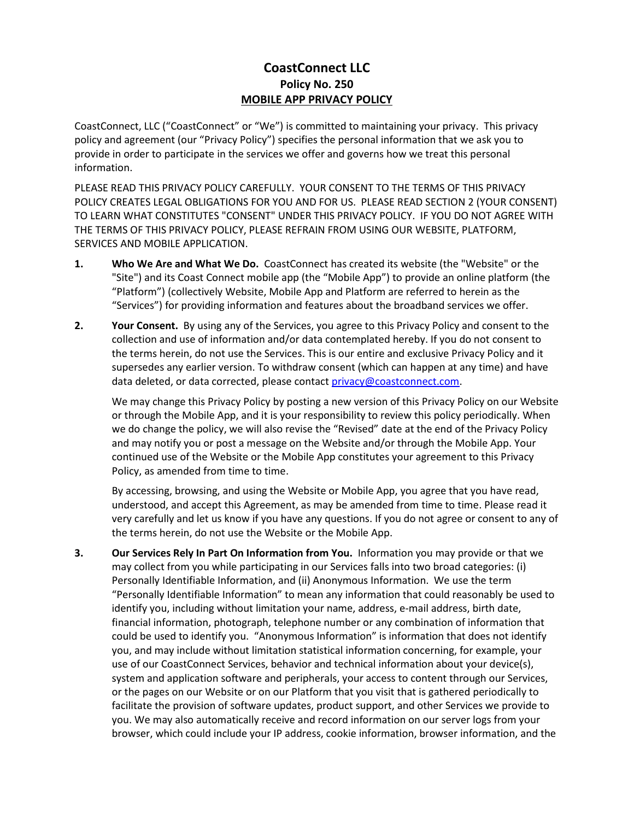## **CoastConnect LLC Policy No. 250 MOBILE APP PRIVACY POLICY**

CoastConnect, LLC ("CoastConnect" or "We") is committed to maintaining your privacy. This privacy policy and agreement (our "Privacy Policy") specifies the personal information that we ask you to provide in order to participate in the services we offer and governs how we treat this personal information.

PLEASE READ THIS PRIVACY POLICY CAREFULLY. YOUR CONSENT TO THE TERMS OF THIS PRIVACY POLICY CREATES LEGAL OBLIGATIONS FOR YOU AND FOR US. PLEASE READ SECTION 2 (YOUR CONSENT) TO LEARN WHAT CONSTITUTES "CONSENT" UNDER THIS PRIVACY POLICY. IF YOU DO NOT AGREE WITH THE TERMS OF THIS PRIVACY POLICY, PLEASE REFRAIN FROM USING OUR WEBSITE, PLATFORM, SERVICES AND MOBILE APPLICATION.

- **1. Who We Are and What We Do.** CoastConnect has created its website (the "Website" or the "Site") and its Coast Connect mobile app (the "Mobile App") to provide an online platform (the "Platform") (collectively Website, Mobile App and Platform are referred to herein as the "Services") for providing information and features about the broadband services we offer.
- **2. Your Consent.** By using any of the Services, you agree to this Privacy Policy and consent to the collection and use of information and/or data contemplated hereby. If you do not consent to the terms herein, do not use the Services. This is our entire and exclusive Privacy Policy and it supersedes any earlier version. To withdraw consent (which can happen at any time) and have data deleted, or data corrected, please contact [privacy@coastconnect.com.](mailto:privacy@coastconnect.com)

We may change this Privacy Policy by posting a new version of this Privacy Policy on our Website or through the Mobile App, and it is your responsibility to review this policy periodically. When we do change the policy, we will also revise the "Revised" date at the end of the Privacy Policy and may notify you or post a message on the Website and/or through the Mobile App. Your continued use of the Website or the Mobile App constitutes your agreement to this Privacy Policy, as amended from time to time.

By accessing, browsing, and using the Website or Mobile App, you agree that you have read, understood, and accept this Agreement, as may be amended from time to time. Please read it very carefully and let us know if you have any questions. If you do not agree or consent to any of the terms herein, do not use the Website or the Mobile App.

**3. Our Services Rely In Part On Information from You.** Information you may provide or that we may collect from you while participating in our Services falls into two broad categories: (i) Personally Identifiable Information, and (ii) Anonymous Information. We use the term "Personally Identifiable Information" to mean any information that could reasonably be used to identify you, including without limitation your name, address, e-mail address, birth date, financial information, photograph, telephone number or any combination of information that could be used to identify you. "Anonymous Information" is information that does not identify you, and may include without limitation statistical information concerning, for example, your use of our CoastConnect Services, behavior and technical information about your device(s), system and application software and peripherals, your access to content through our Services, or the pages on our Website or on our Platform that you visit that is gathered periodically to facilitate the provision of software updates, product support, and other Services we provide to you. We may also automatically receive and record information on our server logs from your browser, which could include your IP address, cookie information, browser information, and the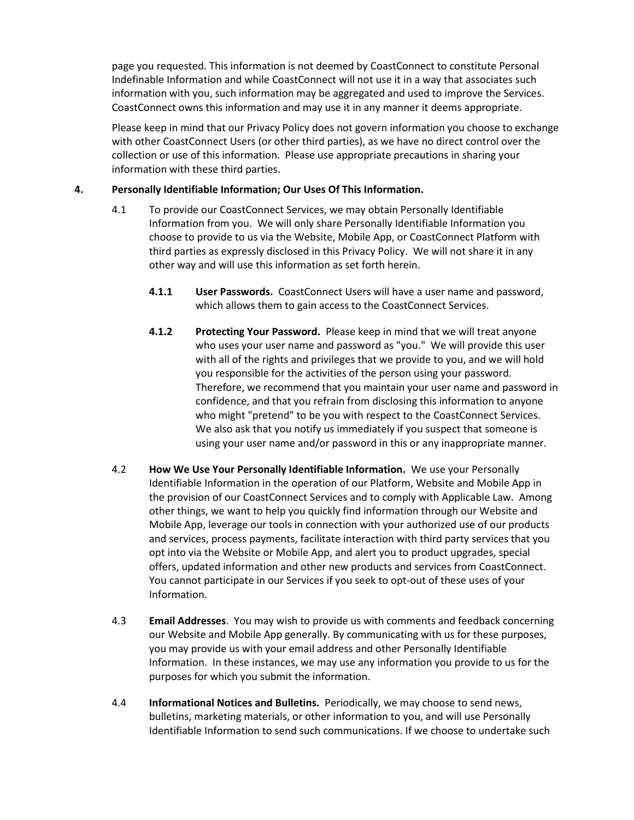page you requested. This information is not deemed by CoastConnect to constitute Personal Indefinable Information and while CoastConnect will not use it in a way that associates such information with you, such information may be aggregated and used to improve the Services. CoastConnect owns this information and may use it in any manner it deems appropriate.

Please keep in mind that our Privacy Policy does not govern information you choose to exchange with other CoastConnect Users (or other third parties), as we have no direct control over the collection or use of this information. Please use appropriate precautions in sharing your information with these third parties.

## **4. Personally Identifiable Information; Our Uses Of This Information.**

- 4.1 To provide our CoastConnect Services, we may obtain Personally Identifiable Information from you. We will only share Personally Identifiable Information you choose to provide to us via the Website, Mobile App, or CoastConnect Platform with third parties as expressly disclosed in this Privacy Policy. We will not share it in any other way and will use this information as set forth herein.
	- **4.1.1 User Passwords.** CoastConnect Users will have a user name and password, which allows them to gain access to the CoastConnect Services.
	- **4.1.2 Protecting Your Password.** Please keep in mind that we will treat anyone who uses your user name and password as "you." We will provide this user with all of the rights and privileges that we provide to you, and we will hold you responsible for the activities of the person using your password. Therefore, we recommend that you maintain your user name and password in confidence, and that you refrain from disclosing this information to anyone who might "pretend" to be you with respect to the CoastConnect Services. We also ask that you notify us immediately if you suspect that someone is using your user name and/or password in this or any inappropriate manner.
- 4.2 **How We Use Your Personally Identifiable Information.** We use your Personally Identifiable Information in the operation of our Platform, Website and Mobile App in the provision of our CoastConnect Services and to comply with Applicable Law. Among other things, we want to help you quickly find information through our Website and Mobile App, leverage our tools in connection with your authorized use of our products and services, process payments, facilitate interaction with third party services that you opt into via the Website or Mobile App, and alert you to product upgrades, special offers, updated information and other new products and services from CoastConnect. You cannot participate in our Services if you seek to opt-out of these uses of your Information.
- 4.3 **Email Addresses**. You may wish to provide us with comments and feedback concerning our Website and Mobile App generally. By communicating with us for these purposes, you may provide us with your email address and other Personally Identifiable Information. In these instances, we may use any information you provide to us for the purposes for which you submit the information.
- 4.4 **Informational Notices and Bulletins.** Periodically, we may choose to send news, bulletins, marketing materials, or other information to you, and will use Personally Identifiable Information to send such communications. If we choose to undertake such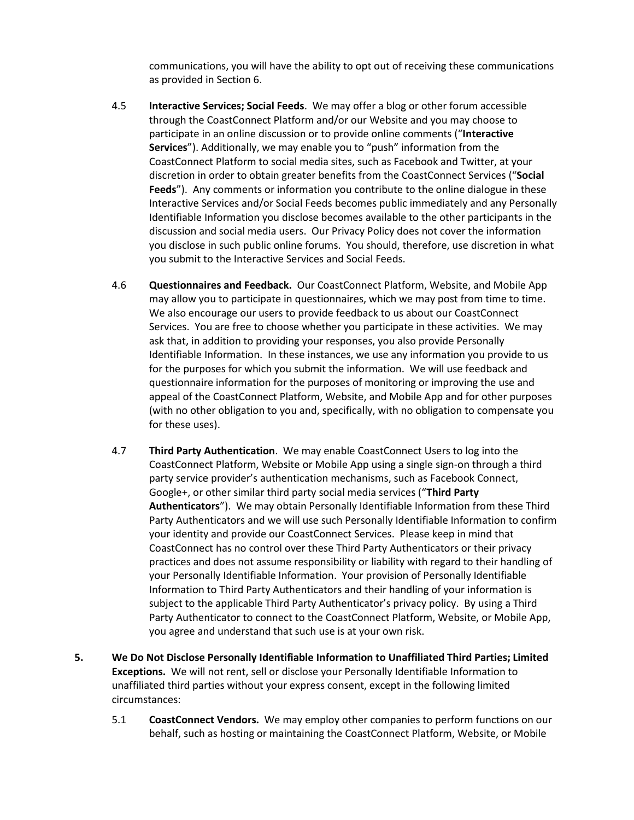communications, you will have the ability to opt out of receiving these communications as provided in Section 6.

- 4.5 **Interactive Services; Social Feeds**. We may offer a blog or other forum accessible through the CoastConnect Platform and/or our Website and you may choose to participate in an online discussion or to provide online comments ("**Interactive Services**"). Additionally, we may enable you to "push" information from the CoastConnect Platform to social media sites, such as Facebook and Twitter, at your discretion in order to obtain greater benefits from the CoastConnect Services ("**Social Feeds**"). Any comments or information you contribute to the online dialogue in these Interactive Services and/or Social Feeds becomes public immediately and any Personally Identifiable Information you disclose becomes available to the other participants in the discussion and social media users. Our Privacy Policy does not cover the information you disclose in such public online forums. You should, therefore, use discretion in what you submit to the Interactive Services and Social Feeds.
- 4.6 **Questionnaires and Feedback.** Our CoastConnect Platform, Website, and Mobile App may allow you to participate in questionnaires, which we may post from time to time. We also encourage our users to provide feedback to us about our CoastConnect Services. You are free to choose whether you participate in these activities. We may ask that, in addition to providing your responses, you also provide Personally Identifiable Information. In these instances, we use any information you provide to us for the purposes for which you submit the information. We will use feedback and questionnaire information for the purposes of monitoring or improving the use and appeal of the CoastConnect Platform, Website, and Mobile App and for other purposes (with no other obligation to you and, specifically, with no obligation to compensate you for these uses).
- 4.7 **Third Party Authentication**. We may enable CoastConnect Users to log into the CoastConnect Platform, Website or Mobile App using a single sign-on through a third party service provider's authentication mechanisms, such as Facebook Connect, Google+, or other similar third party social media services ("**Third Party Authenticators**"). We may obtain Personally Identifiable Information from these Third Party Authenticators and we will use such Personally Identifiable Information to confirm your identity and provide our CoastConnect Services. Please keep in mind that CoastConnect has no control over these Third Party Authenticators or their privacy practices and does not assume responsibility or liability with regard to their handling of your Personally Identifiable Information. Your provision of Personally Identifiable Information to Third Party Authenticators and their handling of your information is subject to the applicable Third Party Authenticator's privacy policy. By using a Third Party Authenticator to connect to the CoastConnect Platform, Website, or Mobile App, you agree and understand that such use is at your own risk.
- **5. We Do Not Disclose Personally Identifiable Information to Unaffiliated Third Parties; Limited Exceptions.** We will not rent, sell or disclose your Personally Identifiable Information to unaffiliated third parties without your express consent, except in the following limited circumstances:
	- 5.1 **CoastConnect Vendors.** We may employ other companies to perform functions on our behalf, such as hosting or maintaining the CoastConnect Platform, Website, or Mobile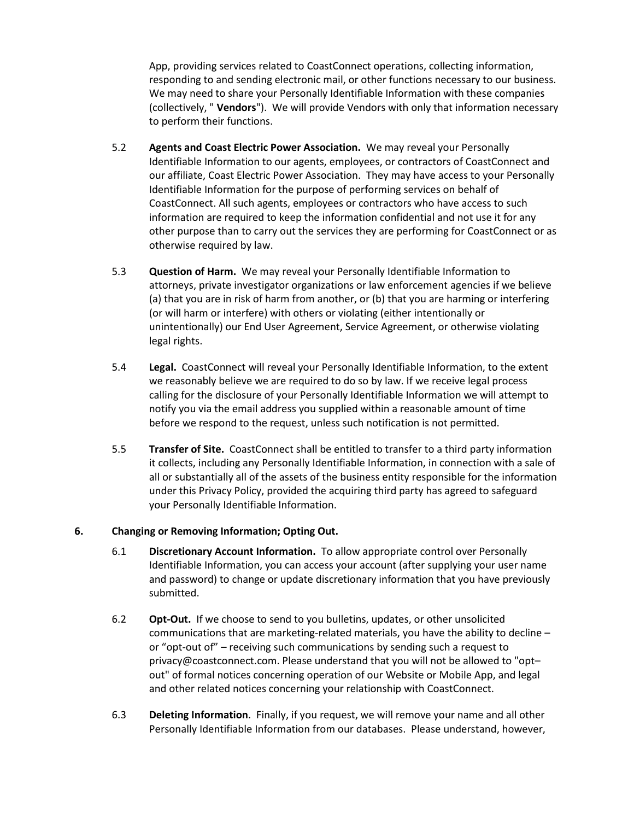App, providing services related to CoastConnect operations, collecting information, responding to and sending electronic mail, or other functions necessary to our business. We may need to share your Personally Identifiable Information with these companies (collectively, " **Vendors**"). We will provide Vendors with only that information necessary to perform their functions.

- 5.2 **Agents and Coast Electric Power Association.** We may reveal your Personally Identifiable Information to our agents, employees, or contractors of CoastConnect and our affiliate, Coast Electric Power Association. They may have access to your Personally Identifiable Information for the purpose of performing services on behalf of CoastConnect. All such agents, employees or contractors who have access to such information are required to keep the information confidential and not use it for any other purpose than to carry out the services they are performing for CoastConnect or as otherwise required by law.
- 5.3 **Question of Harm.** We may reveal your Personally Identifiable Information to attorneys, private investigator organizations or law enforcement agencies if we believe (a) that you are in risk of harm from another, or (b) that you are harming or interfering (or will harm or interfere) with others or violating (either intentionally or unintentionally) our End User Agreement, Service Agreement, or otherwise violating legal rights.
- 5.4 **Legal.** CoastConnect will reveal your Personally Identifiable Information, to the extent we reasonably believe we are required to do so by law. If we receive legal process calling for the disclosure of your Personally Identifiable Information we will attempt to notify you via the email address you supplied within a reasonable amount of time before we respond to the request, unless such notification is not permitted.
- 5.5 **Transfer of Site.** CoastConnect shall be entitled to transfer to a third party information it collects, including any Personally Identifiable Information, in connection with a sale of all or substantially all of the assets of the business entity responsible for the information under this Privacy Policy, provided the acquiring third party has agreed to safeguard your Personally Identifiable Information.

## **6. Changing or Removing Information; Opting Out.**

- 6.1 **Discretionary Account Information.** To allow appropriate control over Personally Identifiable Information, you can access your account (after supplying your user name and password) to change or update discretionary information that you have previously submitted.
- 6.2 **Opt-Out.** If we choose to send to you bulletins, updates, or other unsolicited communications that are marketing-related materials, you have the ability to decline – or "opt-out of" – receiving such communications by sending such a request to privacy@coastconnect.com. Please understand that you will not be allowed to "opt– out" of formal notices concerning operation of our Website or Mobile App, and legal and other related notices concerning your relationship with CoastConnect.
- 6.3 **Deleting Information**. Finally, if you request, we will remove your name and all other Personally Identifiable Information from our databases. Please understand, however,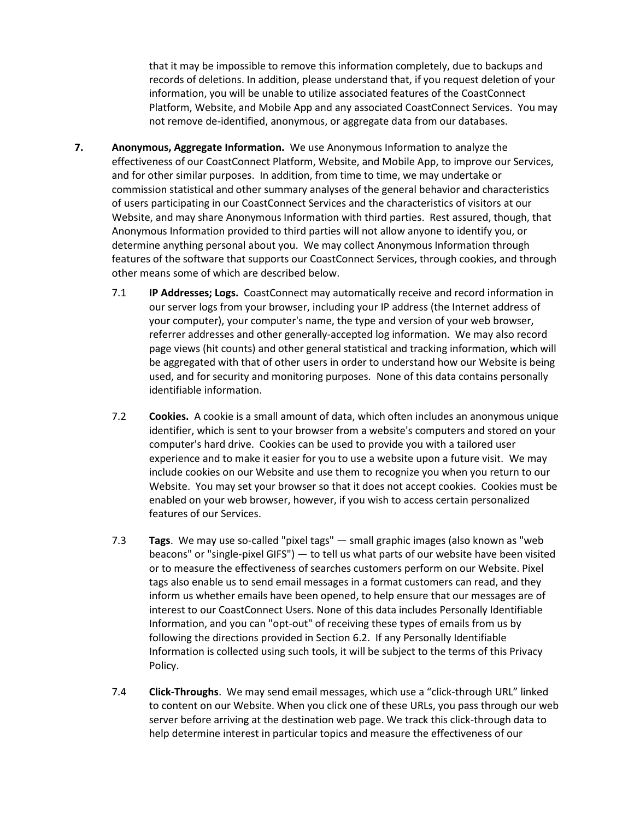that it may be impossible to remove this information completely, due to backups and records of deletions. In addition, please understand that, if you request deletion of your information, you will be unable to utilize associated features of the CoastConnect Platform, Website, and Mobile App and any associated CoastConnect Services. You may not remove de-identified, anonymous, or aggregate data from our databases.

- **7. Anonymous, Aggregate Information.** We use Anonymous Information to analyze the effectiveness of our CoastConnect Platform, Website, and Mobile App, to improve our Services, and for other similar purposes. In addition, from time to time, we may undertake or commission statistical and other summary analyses of the general behavior and characteristics of users participating in our CoastConnect Services and the characteristics of visitors at our Website, and may share Anonymous Information with third parties. Rest assured, though, that Anonymous Information provided to third parties will not allow anyone to identify you, or determine anything personal about you. We may collect Anonymous Information through features of the software that supports our CoastConnect Services, through cookies, and through other means some of which are described below.
	- 7.1 **IP Addresses; Logs.** CoastConnect may automatically receive and record information in our server logs from your browser, including your IP address (the Internet address of your computer), your computer's name, the type and version of your web browser, referrer addresses and other generally-accepted log information. We may also record page views (hit counts) and other general statistical and tracking information, which will be aggregated with that of other users in order to understand how our Website is being used, and for security and monitoring purposes. None of this data contains personally identifiable information.
	- 7.2 **Cookies.** A cookie is a small amount of data, which often includes an anonymous unique identifier, which is sent to your browser from a website's computers and stored on your computer's hard drive. Cookies can be used to provide you with a tailored user experience and to make it easier for you to use a website upon a future visit. We may include cookies on our Website and use them to recognize you when you return to our Website. You may set your browser so that it does not accept cookies. Cookies must be enabled on your web browser, however, if you wish to access certain personalized features of our Services.
	- 7.3 **Tags**. We may use so-called "pixel tags" small graphic images (also known as "web beacons" or "single-pixel GIFS") — to tell us what parts of our website have been visited or to measure the effectiveness of searches customers perform on our Website. Pixel tags also enable us to send email messages in a format customers can read, and they inform us whether emails have been opened, to help ensure that our messages are of interest to our CoastConnect Users. None of this data includes Personally Identifiable Information, and you can "opt-out" of receiving these types of emails from us by following the directions provided in Section 6.2. If any Personally Identifiable Information is collected using such tools, it will be subject to the terms of this Privacy Policy.
	- 7.4 **Click-Throughs**. We may send email messages, which use a "click-through URL" linked to content on our Website. When you click one of these URLs, you pass through our web server before arriving at the destination web page. We track this click-through data to help determine interest in particular topics and measure the effectiveness of our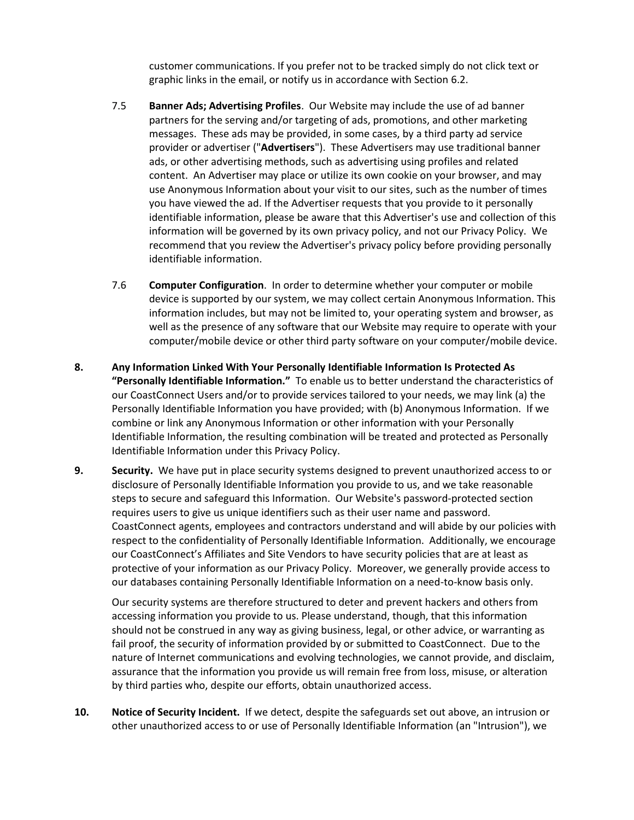customer communications. If you prefer not to be tracked simply do not click text or graphic links in the email, or notify us in accordance with Section 6.2.

- 7.5 **Banner Ads; Advertising Profiles**. Our Website may include the use of ad banner partners for the serving and/or targeting of ads, promotions, and other marketing messages. These ads may be provided, in some cases, by a third party ad service provider or advertiser ("**Advertisers**"). These Advertisers may use traditional banner ads, or other advertising methods, such as advertising using profiles and related content. An Advertiser may place or utilize its own cookie on your browser, and may use Anonymous Information about your visit to our sites, such as the number of times you have viewed the ad. If the Advertiser requests that you provide to it personally identifiable information, please be aware that this Advertiser's use and collection of this information will be governed by its own privacy policy, and not our Privacy Policy. We recommend that you review the Advertiser's privacy policy before providing personally identifiable information.
- 7.6 **Computer Configuration**. In order to determine whether your computer or mobile device is supported by our system, we may collect certain Anonymous Information. This information includes, but may not be limited to, your operating system and browser, as well as the presence of any software that our Website may require to operate with your computer/mobile device or other third party software on your computer/mobile device.
- **8. Any Information Linked With Your Personally Identifiable Information Is Protected As "Personally Identifiable Information."** To enable us to better understand the characteristics of our CoastConnect Users and/or to provide services tailored to your needs, we may link (a) the Personally Identifiable Information you have provided; with (b) Anonymous Information. If we combine or link any Anonymous Information or other information with your Personally Identifiable Information, the resulting combination will be treated and protected as Personally Identifiable Information under this Privacy Policy.
- **9. Security.** We have put in place security systems designed to prevent unauthorized access to or disclosure of Personally Identifiable Information you provide to us, and we take reasonable steps to secure and safeguard this Information. Our Website's password-protected section requires users to give us unique identifiers such as their user name and password. CoastConnect agents, employees and contractors understand and will abide by our policies with respect to the confidentiality of Personally Identifiable Information. Additionally, we encourage our CoastConnect's Affiliates and Site Vendors to have security policies that are at least as protective of your information as our Privacy Policy. Moreover, we generally provide access to our databases containing Personally Identifiable Information on a need-to-know basis only.

Our security systems are therefore structured to deter and prevent hackers and others from accessing information you provide to us. Please understand, though, that this information should not be construed in any way as giving business, legal, or other advice, or warranting as fail proof, the security of information provided by or submitted to CoastConnect. Due to the nature of Internet communications and evolving technologies, we cannot provide, and disclaim, assurance that the information you provide us will remain free from loss, misuse, or alteration by third parties who, despite our efforts, obtain unauthorized access.

**10. Notice of Security Incident.** If we detect, despite the safeguards set out above, an intrusion or other unauthorized access to or use of Personally Identifiable Information (an "Intrusion"), we